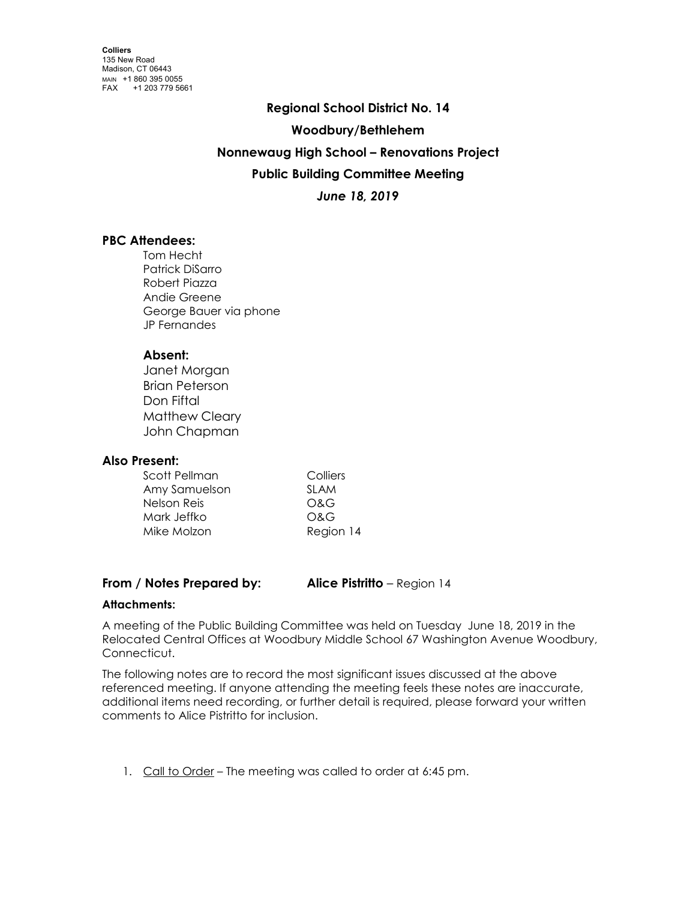**Regional School District No. 14 Woodbury/Bethlehem Nonnewaug High School – Renovations Project Public Building Committee Meeting** *June 18, 2019*

# **PBC Attendees:**

Tom Hecht Patrick DiSarro Robert Piazza Andie Greene George Bauer via phone JP Fernandes

# **Absent:**

Janet Morgan Brian Peterson Don Fiftal Matthew Cleary John Chapman

# **Also Present:**

| Scott Pellman | Colliers    |
|---------------|-------------|
| Amy Samuelson | <b>SLAM</b> |
| Nelson Reis   | O&G         |
| Mark Jeffko   | O&G         |
| Mike Molzon   | Region 14   |

# **From / Notes Prepared by: Alice Pistritto** – Region 14

# **Attachments:**

A meeting of the Public Building Committee was held on Tuesday June 18, 2019 in the Relocated Central Offices at Woodbury Middle School 67 Washington Avenue Woodbury, Connecticut.

The following notes are to record the most significant issues discussed at the above referenced meeting. If anyone attending the meeting feels these notes are inaccurate, additional items need recording, or further detail is required, please forward your written comments to Alice Pistritto for inclusion.

1. Call to Order - The meeting was called to order at 6:45 pm.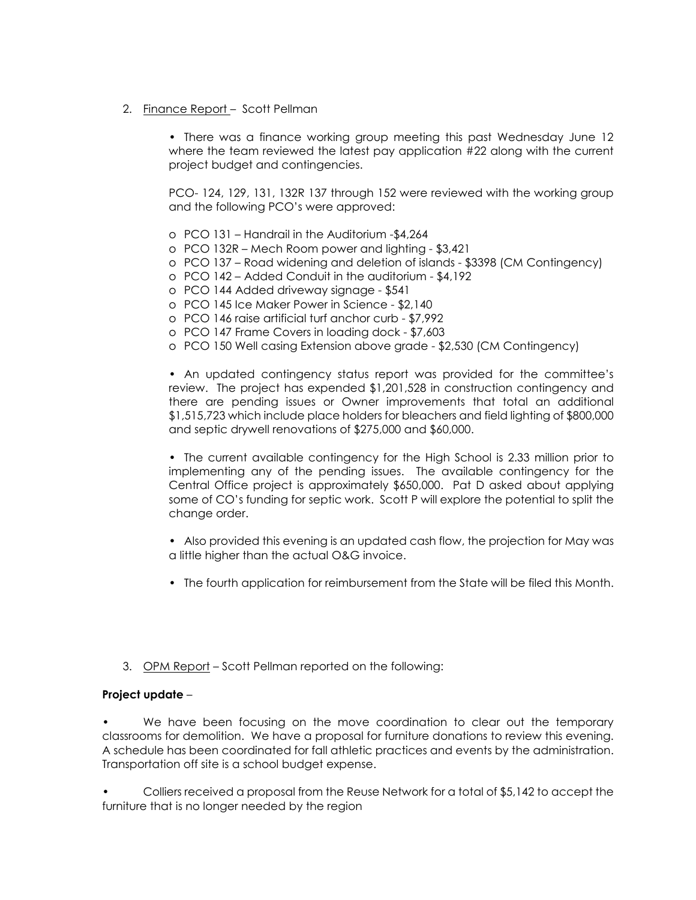# 2. Finance Report – Scott Pellman

• There was a finance working group meeting this past Wednesday June 12 where the team reviewed the latest pay application #22 along with the current project budget and contingencies.

PCO- 124, 129, 131, 132R 137 through 152 were reviewed with the working group and the following PCO's were approved:

- o PCO 131 Handrail in the Auditorium -\$4,264
- o PCO 132R Mech Room power and lighting \$3,421
- o PCO 137 Road widening and deletion of islands \$3398 (CM Contingency)
- o PCO 142 Added Conduit in the auditorium \$4,192
- o PCO 144 Added driveway signage \$541
- o PCO 145 Ice Maker Power in Science \$2,140
- o PCO 146 raise artificial turf anchor curb \$7,992
- o PCO 147 Frame Covers in loading dock \$7,603
- o PCO 150 Well casing Extension above grade \$2,530 (CM Contingency)

• An updated contingency status report was provided for the committee's review. The project has expended \$1,201,528 in construction contingency and there are pending issues or Owner improvements that total an additional \$1,515,723 which include place holders for bleachers and field lighting of \$800,000 and septic drywell renovations of \$275,000 and \$60,000.

• The current available contingency for the High School is 2.33 million prior to implementing any of the pending issues. The available contingency for the Central Office project is approximately \$650,000. Pat D asked about applying some of CO's funding for septic work. Scott P will explore the potential to split the change order.

• Also provided this evening is an updated cash flow, the projection for May was a little higher than the actual O&G invoice.

- The fourth application for reimbursement from the State will be filed this Month.
- 3. OPM Report Scott Pellman reported on the following:

# **Project update** –

We have been focusing on the move coordination to clear out the temporary classrooms for demolition. We have a proposal for furniture donations to review this evening. A schedule has been coordinated for fall athletic practices and events by the administration. Transportation off site is a school budget expense.

• Colliers received a proposal from the Reuse Network for a total of \$5,142 to accept the furniture that is no longer needed by the region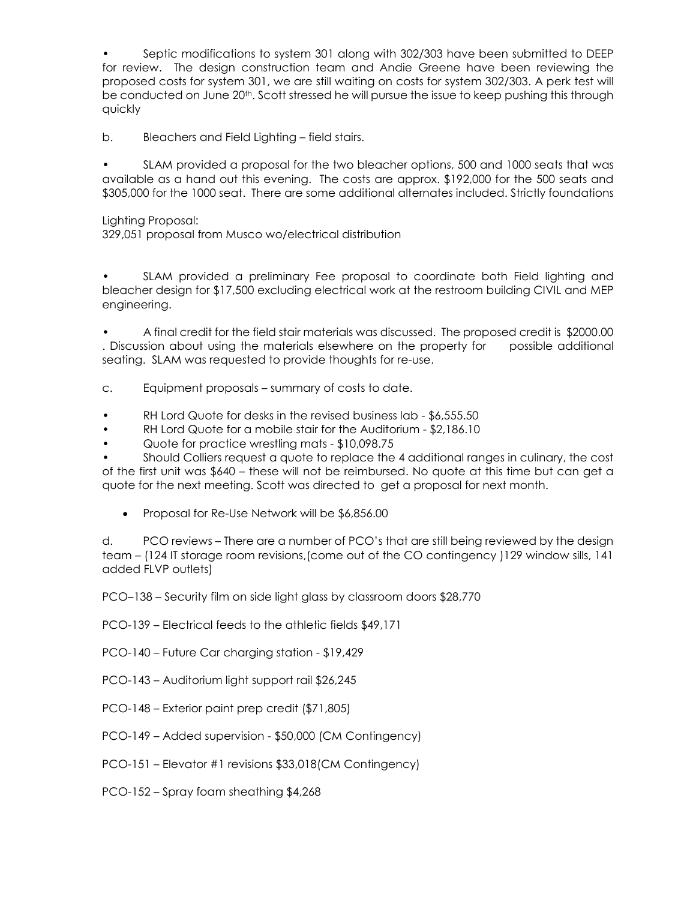• Septic modifications to system 301 along with 302/303 have been submitted to DEEP for review. The design construction team and Andie Greene have been reviewing the proposed costs for system 301, we are still waiting on costs for system 302/303. A perk test will be conducted on June 20th. Scott stressed he will pursue the issue to keep pushing this through quickly

b. Bleachers and Field Lighting – field stairs.

• SLAM provided a proposal for the two bleacher options, 500 and 1000 seats that was available as a hand out this evening. The costs are approx. \$192,000 for the 500 seats and \$305,000 for the 1000 seat. There are some additional alternates included. Strictly foundations

Lighting Proposal:

329,051 proposal from Musco wo/electrical distribution

SLAM provided a preliminary Fee proposal to coordinate both Field lighting and bleacher design for \$17,500 excluding electrical work at the restroom building CIVIL and MEP engineering.

• A final credit for the field stair materials was discussed. The proposed credit is \$2000.00 . Discussion about using the materials elsewhere on the property for possible additional seating. SLAM was requested to provide thoughts for re-use.

- c. Equipment proposals summary of costs to date.
- RH Lord Quote for desks in the revised business lab \$6,555.50
- RH Lord Quote for a mobile stair for the Auditorium \$2,186.10
- Quote for practice wrestling mats \$10,098.75

• Should Colliers request a quote to replace the 4 additional ranges in culinary, the cost of the first unit was \$640 – these will not be reimbursed. No quote at this time but can get a quote for the next meeting. Scott was directed to get a proposal for next month.

• Proposal for Re-Use Network will be \$6,856.00

d. PCO reviews – There are a number of PCO's that are still being reviewed by the design team – (124 IT storage room revisions,(come out of the CO contingency )129 window sills, 141 added FLVP outlets)

PCO–138 – Security film on side light glass by classroom doors \$28,770

PCO-139 – Electrical feeds to the athletic fields \$49,171

PCO-140 – Future Car charging station - \$19,429

- PCO-143 Auditorium light support rail \$26,245
- PCO-148 Exterior paint prep credit (\$71,805)
- PCO-149 Added supervision \$50,000 (CM Contingency)
- PCO-151 Elevator #1 revisions \$33,018(CM Contingency)
- PCO-152 Spray foam sheathing \$4,268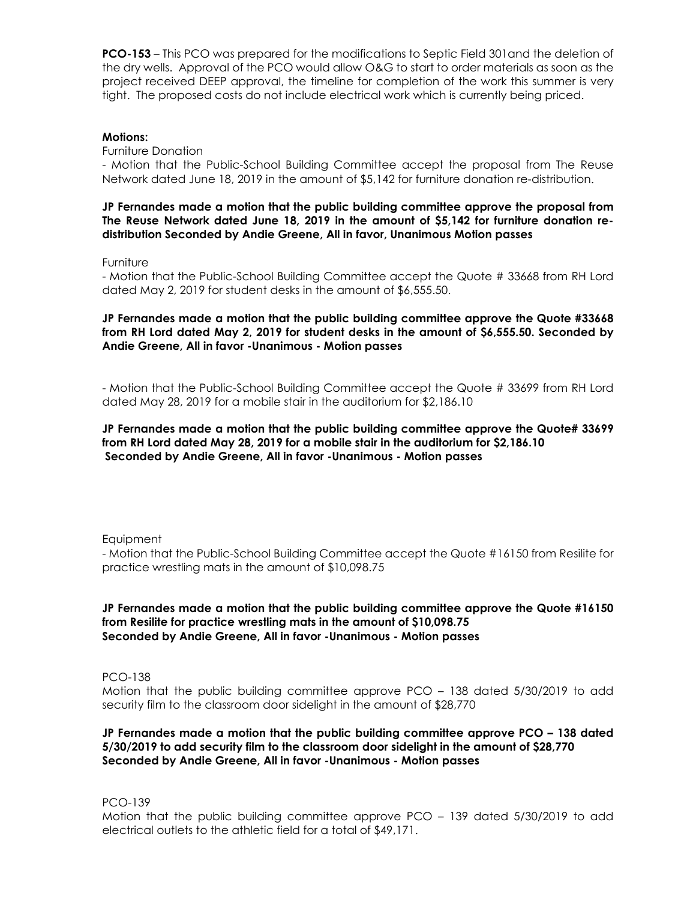**PCO-153** – This PCO was prepared for the modifications to Septic Field 301and the deletion of the dry wells. Approval of the PCO would allow O&G to start to order materials as soon as the project received DEEP approval, the timeline for completion of the work this summer is very tight. The proposed costs do not include electrical work which is currently being priced.

### **Motions:**

Furniture Donation

- Motion that the Public-School Building Committee accept the proposal from The Reuse Network dated June 18, 2019 in the amount of \$5,142 for furniture donation re-distribution.

**JP Fernandes made a motion that the public building committee approve the proposal from The Reuse Network dated June 18, 2019 in the amount of \$5,142 for furniture donation redistribution Seconded by Andie Greene, All in favor, Unanimous Motion passes**

Furniture

- Motion that the Public-School Building Committee accept the Quote # 33668 from RH Lord dated May 2, 2019 for student desks in the amount of \$6,555.50.

**JP Fernandes made a motion that the public building committee approve the Quote #33668 from RH Lord dated May 2, 2019 for student desks in the amount of \$6,555.50. Seconded by Andie Greene, All in favor -Unanimous - Motion passes**

- Motion that the Public-School Building Committee accept the Quote # 33699 from RH Lord dated May 28, 2019 for a mobile stair in the auditorium for \$2,186.10

**JP Fernandes made a motion that the public building committee approve the Quote# 33699 from RH Lord dated May 28, 2019 for a mobile stair in the auditorium for \$2,186.10 Seconded by Andie Greene, All in favor -Unanimous - Motion passes**

**Equipment** 

- Motion that the Public-School Building Committee accept the Quote #16150 from Resilite for practice wrestling mats in the amount of \$10,098.75

**JP Fernandes made a motion that the public building committee approve the Quote #16150 from Resilite for practice wrestling mats in the amount of \$10,098.75 Seconded by Andie Greene, All in favor -Unanimous - Motion passes**

PCO-138

Motion that the public building committee approve PCO – 138 dated 5/30/2019 to add security film to the classroom door sidelight in the amount of \$28,770

**JP Fernandes made a motion that the public building committee approve PCO – 138 dated 5/30/2019 to add security film to the classroom door sidelight in the amount of \$28,770 Seconded by Andie Greene, All in favor -Unanimous - Motion passes**

PCO-139

Motion that the public building committee approve PCO – 139 dated 5/30/2019 to add electrical outlets to the athletic field for a total of \$49,171.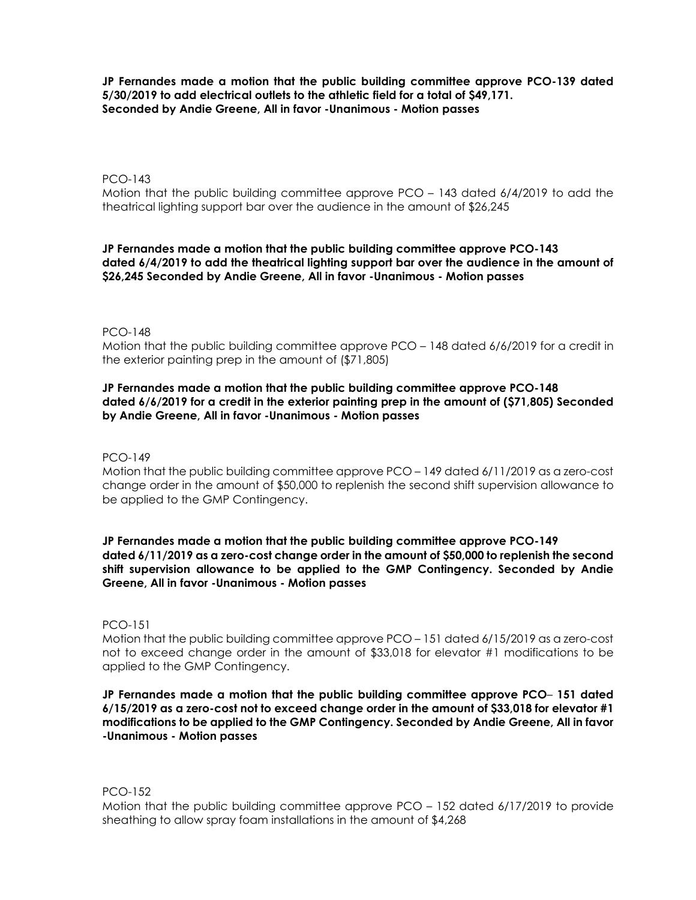**JP Fernandes made a motion that the public building committee approve PCO-139 dated 5/30/2019 to add electrical outlets to the athletic field for a total of \$49,171. Seconded by Andie Greene, All in favor -Unanimous - Motion passes**

#### PCO-143

Motion that the public building committee approve PCO – 143 dated 6/4/2019 to add the theatrical lighting support bar over the audience in the amount of \$26,245

### **JP Fernandes made a motion that the public building committee approve PCO-143 dated 6/4/2019 to add the theatrical lighting support bar over the audience in the amount of \$26,245 Seconded by Andie Greene, All in favor -Unanimous - Motion passes**

#### PCO-148

Motion that the public building committee approve PCO – 148 dated 6/6/2019 for a credit in the exterior painting prep in the amount of (\$71,805)

### **JP Fernandes made a motion that the public building committee approve PCO-148 dated 6/6/2019 for a credit in the exterior painting prep in the amount of (\$71,805) Seconded by Andie Greene, All in favor -Unanimous - Motion passes**

PCO-149

Motion that the public building committee approve PCO – 149 dated 6/11/2019 as a zero-cost change order in the amount of \$50,000 to replenish the second shift supervision allowance to be applied to the GMP Contingency.

**JP Fernandes made a motion that the public building committee approve PCO-149 dated 6/11/2019 as a zero-cost change order in the amount of \$50,000 to replenish the second shift supervision allowance to be applied to the GMP Contingency. Seconded by Andie Greene, All in favor -Unanimous - Motion passes**

#### PCO-151

Motion that the public building committee approve PCO – 151 dated 6/15/2019 as a zero-cost not to exceed change order in the amount of \$33,018 for elevator #1 modifications to be applied to the GMP Contingency.

### **JP Fernandes made a motion that the public building committee approve PCO**– **151 dated 6/15/2019 as a zero-cost not to exceed change order in the amount of \$33,018 for elevator #1 modifications to be applied to the GMP Contingency. Seconded by Andie Greene, All in favor -Unanimous - Motion passes**

PCO-152

Motion that the public building committee approve PCO – 152 dated 6/17/2019 to provide sheathing to allow spray foam installations in the amount of \$4,268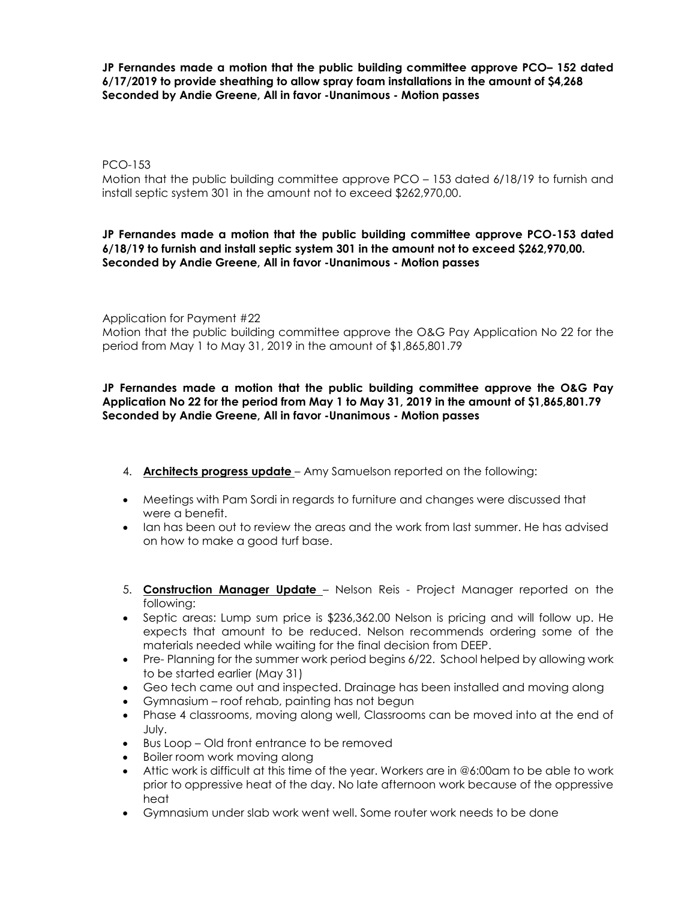**JP Fernandes made a motion that the public building committee approve PCO– 152 dated 6/17/2019 to provide sheathing to allow spray foam installations in the amount of \$4,268 Seconded by Andie Greene, All in favor -Unanimous - Motion passes**

PCO-153

Motion that the public building committee approve PCO – 153 dated 6/18/19 to furnish and install septic system 301 in the amount not to exceed \$262,970,00.

# **JP Fernandes made a motion that the public building committee approve PCO-153 dated 6/18/19 to furnish and install septic system 301 in the amount not to exceed \$262,970,00. Seconded by Andie Greene, All in favor -Unanimous - Motion passes**

Application for Payment #22

Motion that the public building committee approve the O&G Pay Application No 22 for the period from May 1 to May 31, 2019 in the amount of \$1,865,801.79

# **JP Fernandes made a motion that the public building committee approve the O&G Pay Application No 22 for the period from May 1 to May 31, 2019 in the amount of \$1,865,801.79 Seconded by Andie Greene, All in favor -Unanimous - Motion passes**

- 4. **Architects progress update** Amy Samuelson reported on the following:
- Meetings with Pam Sordi in regards to furniture and changes were discussed that were a benefit.
- Ian has been out to review the areas and the work from last summer. He has advised on how to make a good turf base.
- 5. **Construction Manager Update** Nelson Reis Project Manager reported on the following:
- Septic areas: Lump sum price is \$236,362.00 Nelson is pricing and will follow up. He expects that amount to be reduced. Nelson recommends ordering some of the materials needed while waiting for the final decision from DEEP.
- Pre- Planning for the summer work period begins 6/22. School helped by allowing work to be started earlier (May 31)
- Geo tech came out and inspected. Drainage has been installed and moving along
- Gymnasium roof rehab, painting has not begun
- Phase 4 classrooms, moving along well, Classrooms can be moved into at the end of July.
- Bus Loop Old front entrance to be removed
- Boiler room work moving along
- Attic work is difficult at this time of the year. Workers are in @6:00am to be able to work prior to oppressive heat of the day. No late afternoon work because of the oppressive heat
- Gymnasium under slab work went well. Some router work needs to be done